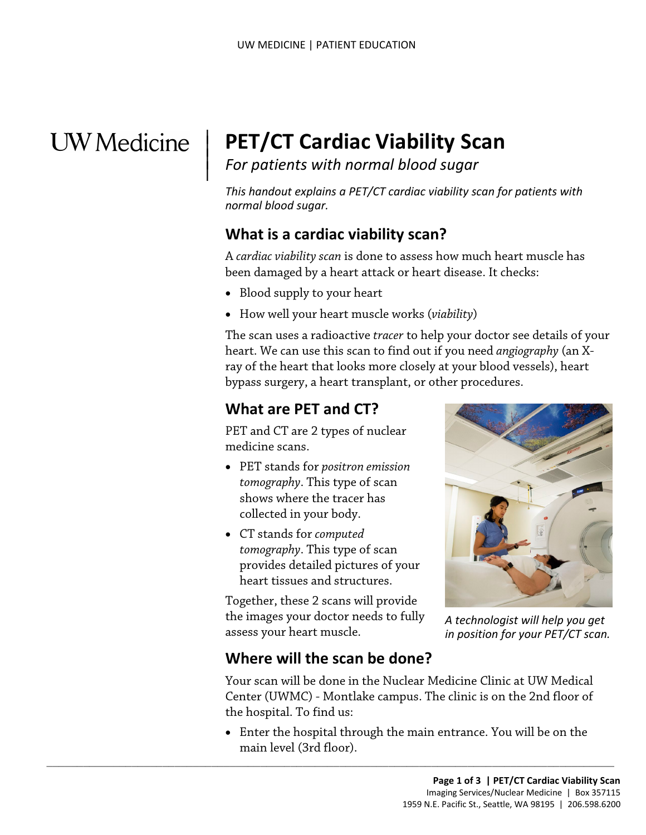# **UW** Medicine

 $\vert$  $\parallel$ 

# | **PET/CT Cardiac Viability Scan**

*For patients with normal blood sugar* 

*This handout explains a PET/CT cardiac viability scan for patients with normal blood sugar.* 

# **What is a cardiac viability scan?**

A *cardiac viability scan* is done to assess how much heart muscle has been damaged by a heart attack or heart disease. It checks:

- Blood supply to your heart
- How well your heart muscle works (*viability*)

 heart. We can use this scan to find out if you need *angiography* (an X- bypass surgery, a heart transplant, or other procedures. • Blood supply to your heart<br>
• How well your heart muscle works (*viability*)<br>
The scan uses a radioactive *tracer* to help your doctor see details<br>
heart. We can use this scan to find out if you need *angiography* (<br>
ra The scan uses a radioactive *tracer* to help your doctor see details of your ray of the heart that looks more closely at your blood vessels), heart

# **What are PET and CT?**

PET and CT are 2 types of nuclear medicine scans.

- PET stands for *positron emission tomography*. This type of scan shows where the tracer has collected in your body.
- CT stands for *computed tomography*. This type of scan provides detailed pictures of your heart tissues and structures.

 Together, these 2 scans will provide the images your doctor needs to fully assess your heart muscle.



*A technologist will help you get in position for your PET/CT scan.* 

# **Where will the scan be done?**

 $\_$  , and the set of the set of the set of the set of the set of the set of the set of the set of the set of the set of the set of the set of the set of the set of the set of the set of the set of the set of the set of th

Your scan will be done in the Nuclear Medicine Clinic at UW Medical Center (UWMC) - Montlake campus. The clinic is on the 2nd floor of the hospital. To find us:

 • Enter the hospital through the main entrance. You will be on the main level (3rd floor).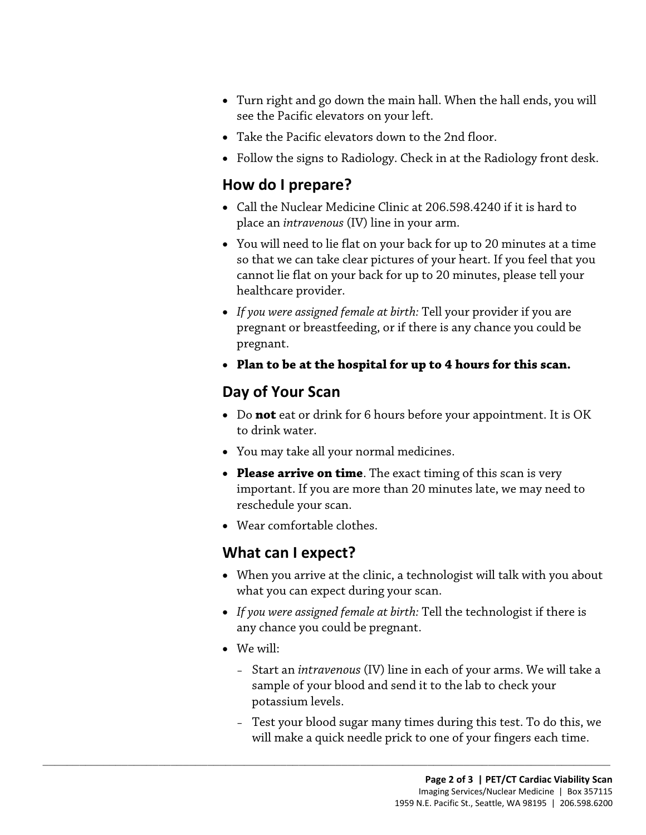- Turn right and go down the main hall. When the hall ends, you will see the Pacific elevators on your left.
- Take the Pacific elevators down to the 2nd floor.
- Follow the signs to Radiology. Check in at the Radiology front desk.

#### **How do I prepare?**

- • Call the Nuclear Medicine Clinic at 206.598.4240 if it is hard to place an *intravenous* (IV) line in your arm.
- You will need to lie flat on your back for up to 20 minutes at a time so that we can take clear pictures of your heart. If you feel that you cannot lie flat on your back for up to 20 minutes, please tell your healthcare provider.
- realthcare provider.<br>
 If you were assigned female at birth: Tell your provider if you as<br>
pregnant or breastfeeding, or if there is any chance you could<br>
pregnant.<br>
 **Plan to be at the hospital for up to 4 hours for thi** • *If you were assigned female at birth:* Tell your provider if you are pregnant or breastfeeding, or if there is any chance you could be pregnant.
	- **Plan to be at the hospital for up to 4 hours for this scan.**

# **Day of Your Scan**

- Do **not** eat or drink for 6 hours before your appointment. It is OK to drink water.
- You may take all your normal medicines.

 $\_$  ,  $\_$  ,  $\_$  ,  $\_$  ,  $\_$  ,  $\_$  ,  $\_$  ,  $\_$  ,  $\_$  ,  $\_$  ,  $\_$  ,  $\_$  ,  $\_$  ,  $\_$  ,  $\_$  ,  $\_$  ,  $\_$  ,  $\_$  ,  $\_$  ,  $\_$  ,  $\_$  ,  $\_$  ,  $\_$  ,  $\_$  ,  $\_$  ,  $\_$  ,  $\_$  ,  $\_$  ,  $\_$  ,  $\_$  ,  $\_$  ,  $\_$  ,  $\_$  ,  $\_$  ,  $\_$  ,  $\_$  ,  $\_$  ,

- **Please arrive on time**. The exact timing of this scan is very important. If you are more than 20 minutes late, we may need to reschedule your scan.
- Wear comfortable clothes.

# **What can I expect?**

- When you arrive at the clinic, a technologist will talk with you about what you can expect during your scan.
- *If you were assigned female at birth:* Tell the technologist if there is any chance you could be pregnant.
- We will:
	- Start an *intravenous* (IV) line in each of your arms. We will take a sample of your blood and send it to the lab to check your potassium levels.
	- Test your blood sugar many times during this test. To do this, we will make a quick needle prick to one of your fingers each time.